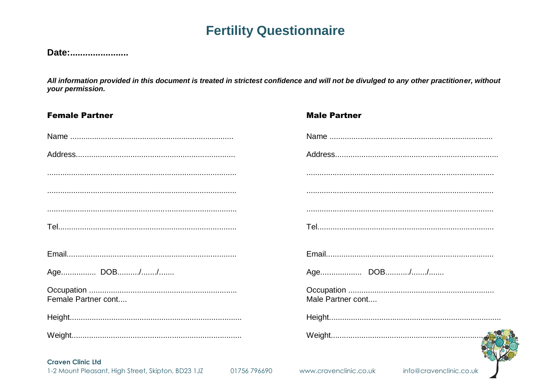## Date:.......................

All information provided in this document is treated in strictest confidence and will not be divulged to any other practitioner, without your permission.

| <b>Female Partner</b>    | <b>Male Partner</b> |
|--------------------------|---------------------|
|                          |                     |
|                          |                     |
|                          |                     |
|                          |                     |
|                          |                     |
|                          |                     |
|                          |                     |
| Age DOB//                |                     |
| Female Partner cont      | Male Partner cont   |
|                          |                     |
|                          |                     |
| <b>Craven Clinic Ltd</b> |                     |

1-2 Mount Pleasant, High Street, Skipton, BD23 1JZ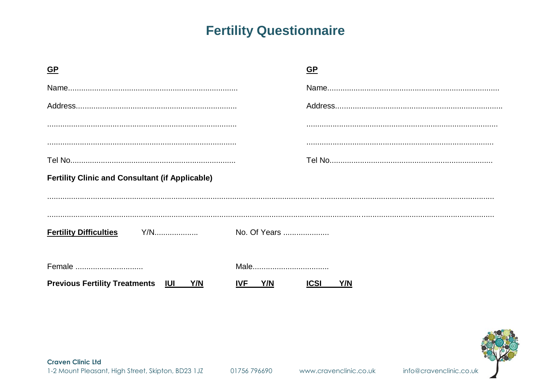| GP                                                     |              | <b>GP</b>          |
|--------------------------------------------------------|--------------|--------------------|
|                                                        |              |                    |
|                                                        |              |                    |
|                                                        |              |                    |
|                                                        |              |                    |
|                                                        |              |                    |
| <b>Fertility Clinic and Consultant (if Applicable)</b> |              |                    |
|                                                        |              |                    |
|                                                        |              |                    |
| Y/N<br><b>Fertility Difficulties</b>                   | No. Of Years |                    |
|                                                        |              |                    |
| Female                                                 |              |                    |
| <b>Previous Fertility Treatments IUI Y/N</b>           | IVF Y/N      | <b>ICSI</b><br>Y/N |

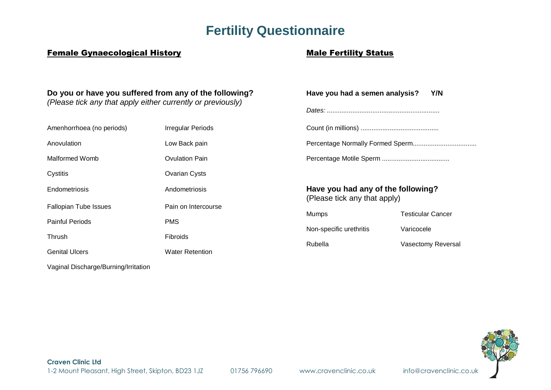#### Female Gynaecological History **Male Fertility Status** Male Fertility Status

## Do you or have you suffered from any of the following? Have you had a semen analysis? Y/N

*(Please tick any that apply either currently or previously)*

| Amenhorrhoea (no periods) | Irregular Periods      |
|---------------------------|------------------------|
| Anovulation               | Low Back pain          |
| Malformed Womb            | <b>Ovulation Pain</b>  |
| Cystitis                  | Ovarian Cysts          |
| Endometriosis             | Andometriosis          |
| Fallopian Tube Issues     | Pain on Intercourse    |
| Painful Periods           | PMS                    |
| Thrush                    | Fibroids               |
| <b>Genital Ulcers</b>     | <b>Water Retention</b> |
|                           |                        |

Vaginal Discharge/Burning/Irritation

*Dates: ..............................................................*

Amenhorrhoea (no periods) Irregular Periods Count (in millions) ...........................................

Anovulation Low Back pain Percentage Normally Formed Sperm...................................

Malformed Womb Ovulation Pain Percentage Motile Sperm .....................................

Have you had any of the following? (Please tick any that apply)

| Mumps                   | <b>Testicular Cancer</b> |  |
|-------------------------|--------------------------|--|
| Non-specific urethritis | Varicocele               |  |
| Rubella                 | Vasectomy Reversal       |  |



#### **Craven Clinic Ltd**

1-2 Mount Pleasant, High Street, Skipton, BD23 1JZ 01756 796690 [www.cravenclinic.co.uk](http://www.cravenclinic.co.uk/) info@cravenclinic.co.uk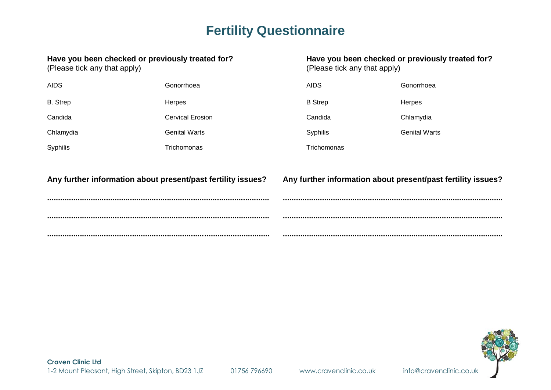# (Please tick any that apply) (Please tick any that apply)

# **Have you been checked or previously treated for? Have you been checked or previously treated for?** (Please tick any that apply)

| <b>AIDS</b>     | Gonorrhoea              | <b>AIDS</b>     | Gonorrhoea           |
|-----------------|-------------------------|-----------------|----------------------|
| <b>B.</b> Strep | Herpes                  | <b>B</b> Strep  | Herpes               |
| Candida         | <b>Cervical Erosion</b> | Candida         | Chlamydia            |
| Chlamydia       | <b>Genital Warts</b>    | <b>Syphilis</b> | <b>Genital Warts</b> |
| Syphilis        | Trichomonas             | Trichomonas     |                      |
|                 |                         |                 |                      |

#### **Any further information about present/past fertility issues? Any further information about present/past fertility issues?**

| .     |
|-------|
| ----- |
|       |

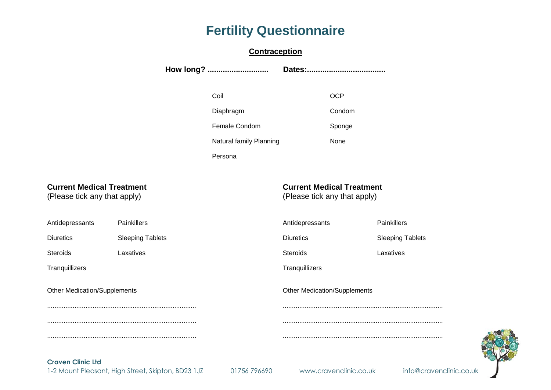#### **Contraception**

**How long? ............................ Dates:....................................**

| Coil                    | OCP         |
|-------------------------|-------------|
| Diaphragm               | Condom      |
| Female Condom           | Sponge      |
| Natural family Planning | <b>None</b> |
|                         |             |

Persona

## **Current Medical Treatment**<br>
(Please tick any that apply) (Please tick any that apply) (Please tick any that apply) (Please tick any that apply)

| Antidepressants                     | Painkillers             | Antidepressants                     | Painkillers             |
|-------------------------------------|-------------------------|-------------------------------------|-------------------------|
| <b>Diuretics</b>                    | <b>Sleeping Tablets</b> | <b>Diuretics</b>                    | <b>Sleeping Tablets</b> |
| Steroids                            | Laxatives               | Steroids                            | Laxatives               |
| Tranquillizers                      |                         | Tranquillizers                      |                         |
| <b>Other Medication/Supplements</b> |                         | <b>Other Medication/Supplements</b> |                         |
|                                     |                         |                                     |                         |
|                                     |                         |                                     |                         |
|                                     |                         |                                     |                         |



**Craven Clinic Ltd**

1-2 Mount Pleasant, High Street, Skipton, BD23 1JZ 01756 796690 [www.cravenclinic.co.uk](http://www.cravenclinic.co.uk/) info@cravenclinic.co.uk